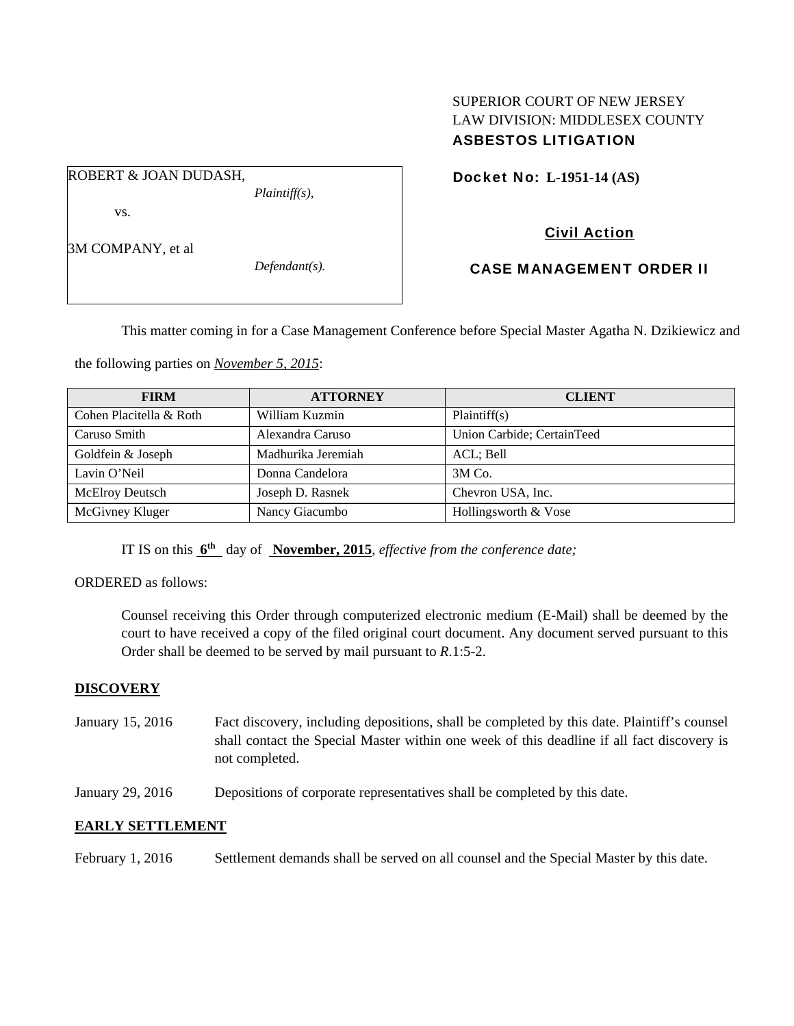## SUPERIOR COURT OF NEW JERSEY LAW DIVISION: MIDDLESEX COUNTY ASBESTOS LITIGATION

ROBERT & JOAN DUDASH,

vs.

3M COMPANY, et al

*Defendant(s).* 

*Plaintiff(s),* 

# Docket No: **L-1951-14 (AS)**

# Civil Action

## CASE MANAGEMENT ORDER II

This matter coming in for a Case Management Conference before Special Master Agatha N. Dzikiewicz and

the following parties on *November 5, 2015*:

| <b>FIRM</b>             | <b>ATTORNEY</b>    | <b>CLIENT</b>              |
|-------------------------|--------------------|----------------------------|
| Cohen Placitella & Roth | William Kuzmin     | Plaintiff(s)               |
| Caruso Smith            | Alexandra Caruso   | Union Carbide; CertainTeed |
| Goldfein & Joseph       | Madhurika Jeremiah | ACL; Bell                  |
| Lavin O'Neil            | Donna Candelora    | $3M$ Co.                   |
| McElroy Deutsch         | Joseph D. Rasnek   | Chevron USA, Inc.          |
| McGivney Kluger         | Nancy Giacumbo     | Hollingsworth & Vose       |

IT IS on this **6th** day of **November, 2015**, *effective from the conference date;*

ORDERED as follows:

Counsel receiving this Order through computerized electronic medium (E-Mail) shall be deemed by the court to have received a copy of the filed original court document. Any document served pursuant to this Order shall be deemed to be served by mail pursuant to *R*.1:5-2.

## **DISCOVERY**

- January 15, 2016 Fact discovery, including depositions, shall be completed by this date. Plaintiff's counsel shall contact the Special Master within one week of this deadline if all fact discovery is not completed.
- January 29, 2016 Depositions of corporate representatives shall be completed by this date.

## **EARLY SETTLEMENT**

February 1, 2016 Settlement demands shall be served on all counsel and the Special Master by this date.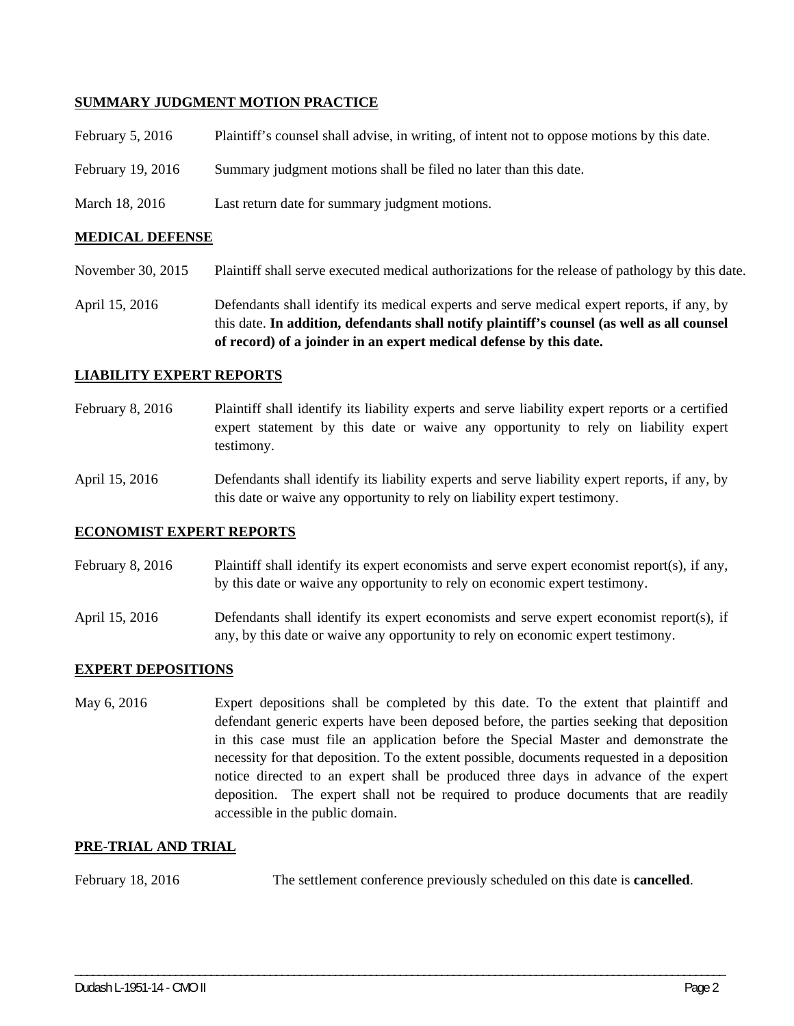#### **SUMMARY JUDGMENT MOTION PRACTICE**

| February 5, $2016$ | Plaintiff's counsel shall advise, in writing, of intent not to oppose motions by this date. |
|--------------------|---------------------------------------------------------------------------------------------|
| February 19, 2016  | Summary judgment motions shall be filed no later than this date.                            |
| March 18, 2016     | Last return date for summary judgment motions.                                              |

#### **MEDICAL DEFENSE**

- November 30, 2015 Plaintiff shall serve executed medical authorizations for the release of pathology by this date.
- April 15, 2016 Defendants shall identify its medical experts and serve medical expert reports, if any, by this date. **In addition, defendants shall notify plaintiff's counsel (as well as all counsel of record) of a joinder in an expert medical defense by this date.**

#### **LIABILITY EXPERT REPORTS**

- February 8, 2016 Plaintiff shall identify its liability experts and serve liability expert reports or a certified expert statement by this date or waive any opportunity to rely on liability expert testimony.
- April 15, 2016 Defendants shall identify its liability experts and serve liability expert reports, if any, by this date or waive any opportunity to rely on liability expert testimony.

#### **ECONOMIST EXPERT REPORTS**

February 8, 2016 Plaintiff shall identify its expert economists and serve expert economist report(s), if any, by this date or waive any opportunity to rely on economic expert testimony.

April 15, 2016 Defendants shall identify its expert economists and serve expert economist report(s), if any, by this date or waive any opportunity to rely on economic expert testimony.

#### **EXPERT DEPOSITIONS**

May 6, 2016 Expert depositions shall be completed by this date. To the extent that plaintiff and defendant generic experts have been deposed before, the parties seeking that deposition in this case must file an application before the Special Master and demonstrate the necessity for that deposition. To the extent possible, documents requested in a deposition notice directed to an expert shall be produced three days in advance of the expert deposition. The expert shall not be required to produce documents that are readily accessible in the public domain.

#### **PRE-TRIAL AND TRIAL**

February 18, 2016 The settlement conference previously scheduled on this date is **cancelled**.

\_\_\_\_\_\_\_\_\_\_\_\_\_\_\_\_\_\_\_\_\_\_\_\_\_\_\_\_\_\_\_\_\_\_\_\_\_\_\_\_\_\_\_\_\_\_\_\_\_\_\_\_\_\_\_\_\_\_\_\_\_\_\_\_\_\_\_\_\_\_\_\_\_\_\_\_\_\_\_\_\_\_\_\_\_\_\_\_\_\_\_\_\_\_\_\_\_\_\_\_\_\_\_\_\_\_\_\_\_\_